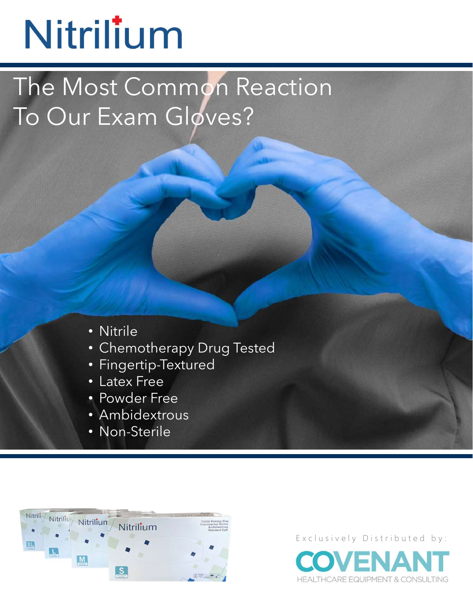## Nitrilium

GLOVES The Most Common Reaction To Our Exam Gloves?

- Nitrile
- Chemotherapy Drug Tested
- Fingertip-Textured
- Latex Free
- Powder Free
- Ambidextrous
- Non-Sterile